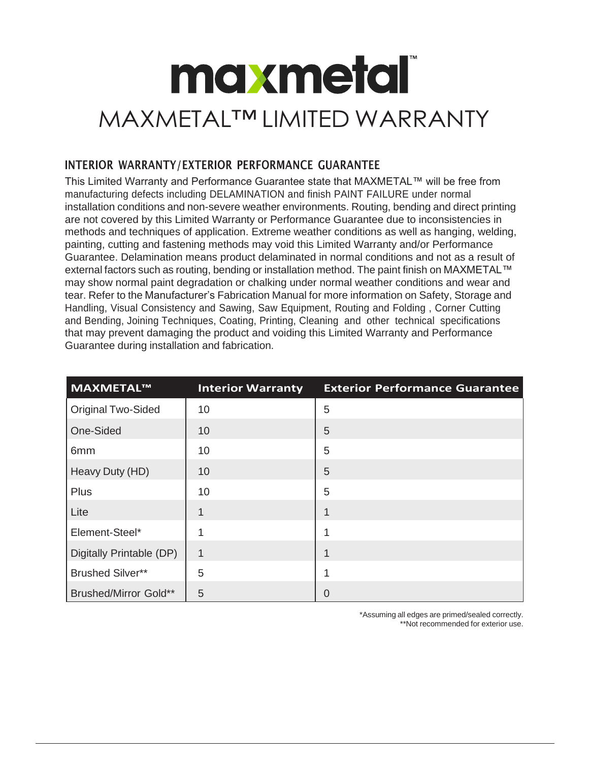## **maxmetal** MAXMETAL™ LIMITED WARRANTY

## INTERIOR WARRANTY/EXTERIOR PERFORMANCE GUARANTEE

This Limited Warranty and Performance Guarantee state that MAXMETAL™ will be free from manufacturing defects including DELAMINATION and finish PAINT FAILURE under normal installation conditions and non-severe weather environments. Routing, bending and direct printing are not covered by this Limited Warranty or Performance Guarantee due to inconsistencies in methods and techniques of application. Extreme weather conditions as well as hanging, welding, painting, cutting and fastening methods may void this Limited Warranty and/or Performance Guarantee. Delamination means product delaminated in normal conditions and not as a result of external factors such as routing, bending or installation method. The paint finish on MAXMETAL™ may show normal paint degradation or chalking under normal weather conditions and wear and tear. Refer to the Manufacturer's Fabrication Manual for more information on Safety, Storage and Handling, Visual Consistency and Sawing, Saw Equipment, Routing and Folding , Corner Cutting and Bending, Joining Techniques, Coating, Printing, Cleaning and other technical specifications that may prevent damaging the product and voiding this Limited Warranty and Performance Guarantee during installation and fabrication.

| MAXMETAL™                    | <b>Interior Warranty</b> | <b>Exterior Performance Guarantee</b> |
|------------------------------|--------------------------|---------------------------------------|
| Original Two-Sided           | 10                       | 5                                     |
| One-Sided                    | 10                       | $\overline{5}$                        |
| 6 <sub>mm</sub>              | 10                       | 5                                     |
| Heavy Duty (HD)              | 10                       | 5                                     |
| Plus                         | 10                       | 5                                     |
| Lite                         | 1                        | 1                                     |
| Element-Steel*               |                          | 1                                     |
| Digitally Printable (DP)     | $\mathbf{1}$             | 1                                     |
| <b>Brushed Silver**</b>      | 5                        | 1                                     |
| <b>Brushed/Mirror Gold**</b> | 5                        | $\overline{0}$                        |

\*Assuming all edges are primed/sealed correctly. \*\*Not recommended for exterior use.